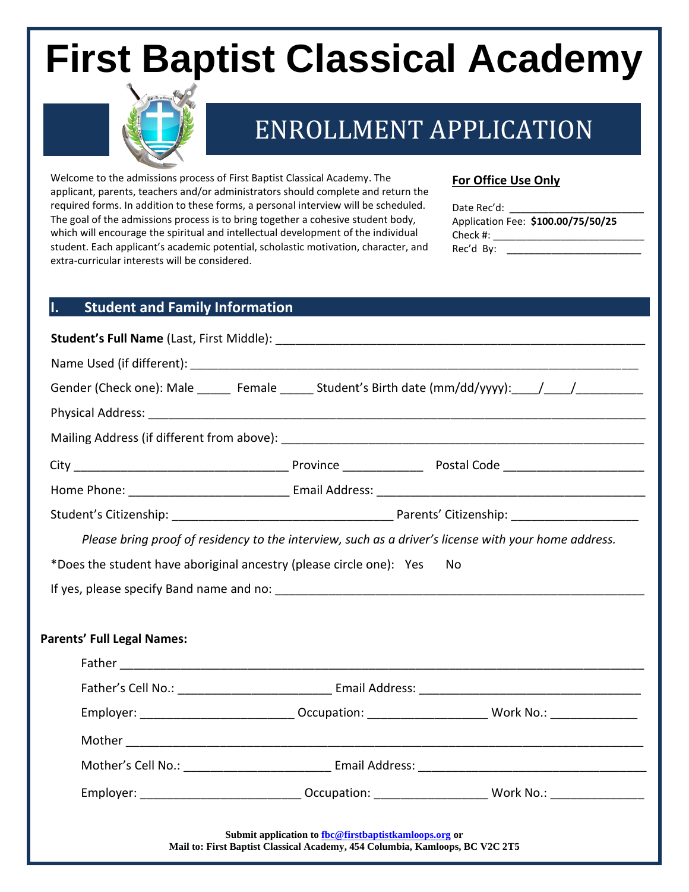# **First Baptist Classical Academy**



# ENROLLMENT APPLICATION

Welcome to the admissions process of First Baptist Classical Academy. The applicant, parents, teachers and/or administrators should complete and return the required forms. In addition to these forms, a personal interview will be scheduled. The goal of the admissions process is to bring together a cohesive student body, which will encourage the spiritual and intellectual development of the individual student. Each applicant's academic potential, scholastic motivation, character, and extra-curricular interests will be considered.

**For Office Use Only**

| required forms. In addition to these forms, a personal interview will be scheduled.<br>The goal of the admissions process is to bring together a cohesive student body,<br>which will encourage the spiritual and intellectual development of the individual<br>student. Each applicant's academic potential, scholastic motivation, character, and | Application Fee: \$100.00/75/50/25<br>Check #: _________________________________                               |                |  |
|-----------------------------------------------------------------------------------------------------------------------------------------------------------------------------------------------------------------------------------------------------------------------------------------------------------------------------------------------------|----------------------------------------------------------------------------------------------------------------|----------------|--|
| extra-curricular interests will be considered.                                                                                                                                                                                                                                                                                                      |                                                                                                                |                |  |
|                                                                                                                                                                                                                                                                                                                                                     |                                                                                                                |                |  |
| <b>Student and Family Information</b><br>Ι.                                                                                                                                                                                                                                                                                                         |                                                                                                                |                |  |
|                                                                                                                                                                                                                                                                                                                                                     |                                                                                                                |                |  |
|                                                                                                                                                                                                                                                                                                                                                     |                                                                                                                |                |  |
|                                                                                                                                                                                                                                                                                                                                                     | Gender (Check one): Male ______ Female ______ Student's Birth date (mm/dd/yyyy): ____/ ____/ _____________     |                |  |
|                                                                                                                                                                                                                                                                                                                                                     |                                                                                                                |                |  |
|                                                                                                                                                                                                                                                                                                                                                     |                                                                                                                |                |  |
|                                                                                                                                                                                                                                                                                                                                                     |                                                                                                                |                |  |
|                                                                                                                                                                                                                                                                                                                                                     |                                                                                                                |                |  |
|                                                                                                                                                                                                                                                                                                                                                     |                                                                                                                |                |  |
|                                                                                                                                                                                                                                                                                                                                                     | Please bring proof of residency to the interview, such as a driver's license with your home address.           |                |  |
|                                                                                                                                                                                                                                                                                                                                                     | *Does the student have aboriginal ancestry (please circle one): Yes                                            | No.            |  |
|                                                                                                                                                                                                                                                                                                                                                     |                                                                                                                |                |  |
|                                                                                                                                                                                                                                                                                                                                                     |                                                                                                                |                |  |
| <b>Parents' Full Legal Names:</b>                                                                                                                                                                                                                                                                                                                   |                                                                                                                |                |  |
|                                                                                                                                                                                                                                                                                                                                                     | Father and the contract of the contract of the contract of the contract of the contract of the contract of the |                |  |
|                                                                                                                                                                                                                                                                                                                                                     |                                                                                                                |                |  |
|                                                                                                                                                                                                                                                                                                                                                     | Employer: _________________________________ Occupation: ________________________                               | Work No.: No.: |  |
|                                                                                                                                                                                                                                                                                                                                                     |                                                                                                                |                |  |
|                                                                                                                                                                                                                                                                                                                                                     |                                                                                                                |                |  |
|                                                                                                                                                                                                                                                                                                                                                     |                                                                                                                |                |  |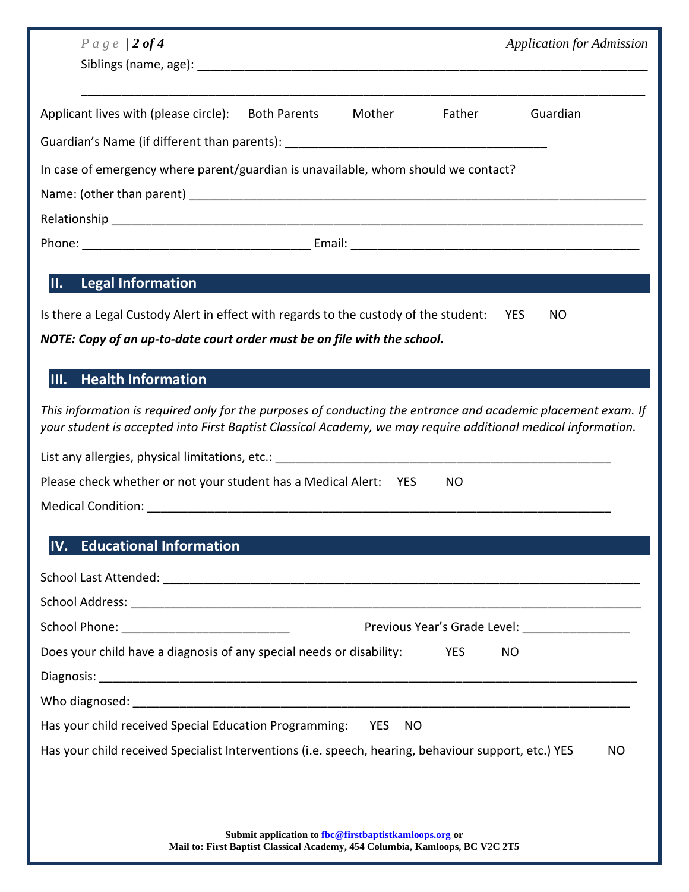| $P \, \alpha \, g \, e \, / 2 \, of \, 4$                                                                                                                                                                                      |        |            | <b>Application for Admission</b>                |  |
|--------------------------------------------------------------------------------------------------------------------------------------------------------------------------------------------------------------------------------|--------|------------|-------------------------------------------------|--|
|                                                                                                                                                                                                                                |        |            |                                                 |  |
|                                                                                                                                                                                                                                |        |            |                                                 |  |
| Applicant lives with (please circle):<br><b>Both Parents</b>                                                                                                                                                                   | Mother | Father     | Guardian                                        |  |
| Guardian's Name (if different than parents): ___________________________________                                                                                                                                               |        |            |                                                 |  |
| In case of emergency where parent/guardian is unavailable, whom should we contact?                                                                                                                                             |        |            |                                                 |  |
|                                                                                                                                                                                                                                |        |            |                                                 |  |
|                                                                                                                                                                                                                                |        |            |                                                 |  |
|                                                                                                                                                                                                                                |        |            |                                                 |  |
|                                                                                                                                                                                                                                |        |            |                                                 |  |
| <b>Legal Information</b><br>II.                                                                                                                                                                                                |        |            |                                                 |  |
| Is there a Legal Custody Alert in effect with regards to the custody of the student:                                                                                                                                           |        |            | <b>YES</b><br>NO.                               |  |
| NOTE: Copy of an up-to-date court order must be on file with the school.                                                                                                                                                       |        |            |                                                 |  |
| <b>Health Information</b><br>III.                                                                                                                                                                                              |        |            |                                                 |  |
|                                                                                                                                                                                                                                |        |            |                                                 |  |
| This information is required only for the purposes of conducting the entrance and academic placement exam. If<br>your student is accepted into First Baptist Classical Academy, we may require additional medical information. |        |            |                                                 |  |
|                                                                                                                                                                                                                                |        |            |                                                 |  |
| Please check whether or not your student has a Medical Alert: YES                                                                                                                                                              |        | NO         |                                                 |  |
|                                                                                                                                                                                                                                |        |            |                                                 |  |
|                                                                                                                                                                                                                                |        |            |                                                 |  |
| <b>Educational Information</b><br>IV.                                                                                                                                                                                          |        |            |                                                 |  |
|                                                                                                                                                                                                                                |        |            |                                                 |  |
|                                                                                                                                                                                                                                |        |            |                                                 |  |
|                                                                                                                                                                                                                                |        |            | Previous Year's Grade Level: __________________ |  |
| Does your child have a diagnosis of any special needs or disability:                                                                                                                                                           |        | <b>YES</b> | <b>NO</b>                                       |  |
|                                                                                                                                                                                                                                |        |            |                                                 |  |
|                                                                                                                                                                                                                                |        |            |                                                 |  |
| Has your child received Special Education Programming: YES                                                                                                                                                                     | NO     |            |                                                 |  |
| Has your child received Specialist Interventions (i.e. speech, hearing, behaviour support, etc.) YES                                                                                                                           |        |            | NO                                              |  |
|                                                                                                                                                                                                                                |        |            |                                                 |  |
|                                                                                                                                                                                                                                |        |            |                                                 |  |
| Submit application to fbc@firstbaptistkamloops.org or                                                                                                                                                                          |        |            |                                                 |  |

**Mail to: First Baptist Classical Academy, 454 Columbia, Kamloops, BC V2C 2T5**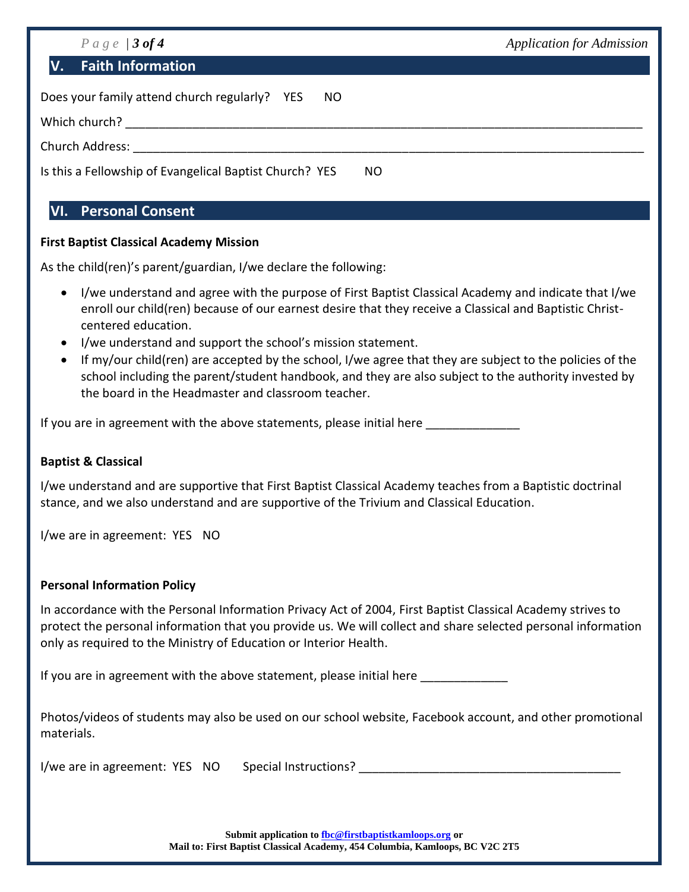| $P \, \alpha \, g \, e \, f \, 3 \, of \, 4$                   | <b>Application for Admission</b> |  |  |
|----------------------------------------------------------------|----------------------------------|--|--|
| <b>Faith Information</b><br>$\mathbf V$                        |                                  |  |  |
| Does your family attend church regularly? YES<br>NO.           |                                  |  |  |
| Which church?                                                  |                                  |  |  |
| Church Address:                                                |                                  |  |  |
| Is this a Fellowship of Evangelical Baptist Church? YES<br>NO. |                                  |  |  |

## **VI. Personal Consent**

#### **First Baptist Classical Academy Mission**

As the child(ren)'s parent/guardian, I/we declare the following:

- I/we understand and agree with the purpose of First Baptist Classical Academy and indicate that I/we enroll our child(ren) because of our earnest desire that they receive a Classical and Baptistic Christcentered education.
- I/we understand and support the school's mission statement.
- If my/our child(ren) are accepted by the school, I/we agree that they are subject to the policies of the school including the parent/student handbook, and they are also subject to the authority invested by the board in the Headmaster and classroom teacher.

If you are in agreement with the above statements, please initial here

#### **Baptist & Classical**

I/we understand and are supportive that First Baptist Classical Academy teaches from a Baptistic doctrinal stance, and we also understand and are supportive of the Trivium and Classical Education.

I/we are in agreement: YES NO

#### **Personal Information Policy**

In accordance with the Personal Information Privacy Act of 2004, First Baptist Classical Academy strives to protect the personal information that you provide us. We will collect and share selected personal information only as required to the Ministry of Education or Interior Health.

If you are in agreement with the above statement, please initial here

Photos/videos of students may also be used on our school website, Facebook account, and other promotional materials.

I/we are in agreement: YES NO Special Instructions? \_\_\_\_\_\_\_\_\_\_\_\_\_\_\_\_\_\_\_\_\_\_\_\_\_\_\_\_

**Submit application t[o fbc@firstbaptistkamloops.org](mailto:fbc@firstbaptistkamloops.org) or Mail to: First Baptist Classical Academy, 454 Columbia, Kamloops, BC V2C 2T5**